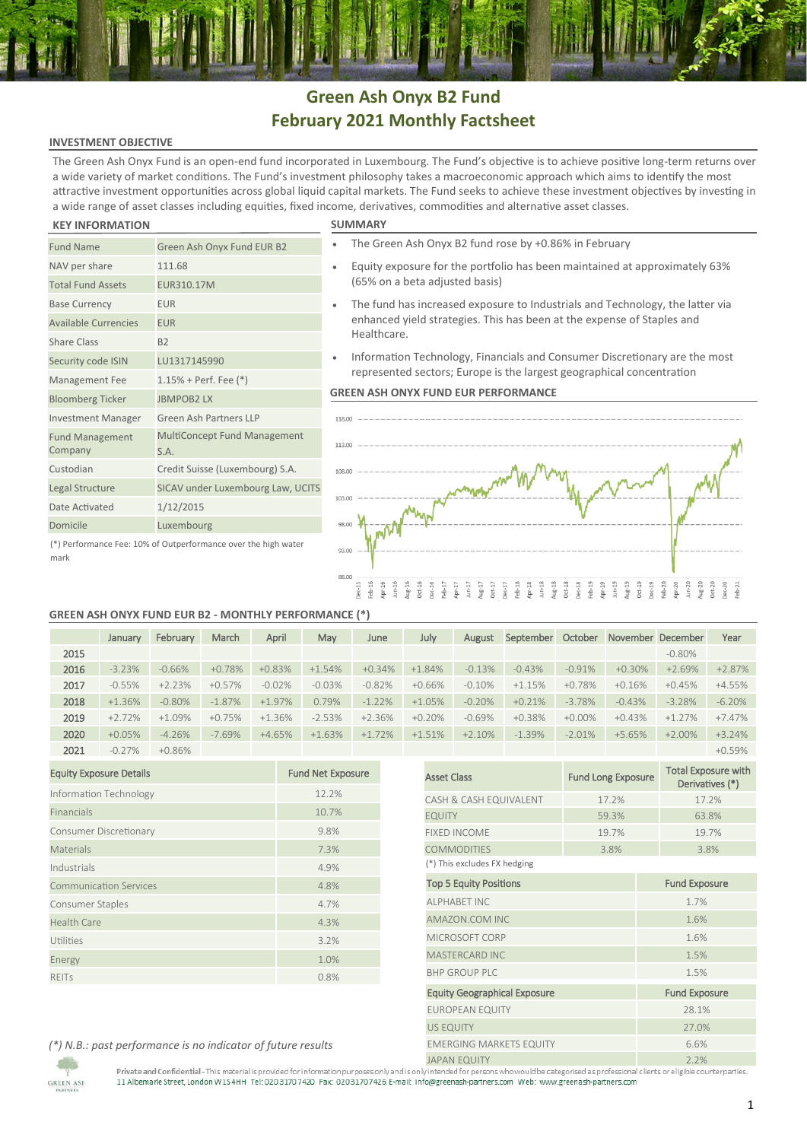## **Green Ash Onyx B2 Fund February 2021 Monthly Factsheet**

## **INVESTMENT OBJECTIVE**

The Green Ash Onyx Fund is an open-end fund incorporated in Luxembourg. The Fund's objective is to achieve positive long-term returns over a wide variety of market conditions. The Fund's investment philosophy takes a macroeconomic approach which aims to identify the most attractive investment opportunities across global liquid capital markets. The Fund seeks to achieve these investment objectives by investing in a wide range of asset classes including equities, fixed income, derivatives, commodities and alternative asset classes.

## **KEY INFORMATION**

mark

**GREEN ASH** 

| <b>Fund Name</b>                                               | Green Ash Onyx Fund EUR B2                  |  |  |  |  |
|----------------------------------------------------------------|---------------------------------------------|--|--|--|--|
| NAV per share                                                  | 111.68                                      |  |  |  |  |
| <b>Total Fund Assets</b>                                       | EUR310.17M                                  |  |  |  |  |
| <b>Base Currency</b>                                           | <b>EUR</b>                                  |  |  |  |  |
| <b>Available Currencies</b>                                    | <b>EUR</b>                                  |  |  |  |  |
| Share Class                                                    | B <sub>2</sub>                              |  |  |  |  |
| Security code ISIN                                             | LU1317145990                                |  |  |  |  |
| Management Fee                                                 | $1.15% + Perf. Fee (*)$                     |  |  |  |  |
| <b>Bloomberg Ticker</b>                                        | <b>JBMPOB2LX</b>                            |  |  |  |  |
| <b>Investment Manager</b>                                      | Green Ash Partners LLP                      |  |  |  |  |
| <b>Fund Management</b><br>Company                              | <b>MultiConcept Fund Management</b><br>S.A. |  |  |  |  |
| Custodian                                                      | Credit Suisse (Luxembourg) S.A.             |  |  |  |  |
| Legal Structure                                                | SICAV under Luxembourg Law, UCITS           |  |  |  |  |
| Date Activated                                                 | 1/12/2015                                   |  |  |  |  |
| Domicile                                                       | Luxembourg                                  |  |  |  |  |
| (*) Performance Fee: 10% of Outperformance over the high water |                                             |  |  |  |  |

|  | SUMMARY |  |
|--|---------|--|
|  |         |  |

- The Green Ash Onyx B2 fund rose by +0.86% in February
- Equity exposure for the portfolio has been maintained at approximately 63% (65% on a beta adjusted basis)
- The fund has increased exposure to Industrials and Technology, the latter via enhanced yield strategies. This has been at the expense of Staples and Healthcare.
- Information Technology, Financials and Consumer Discretionary are the most represented sectors; Europe is the largest geographical concentration

## **GREEN ASH ONYX FUND EUR PERFORMANCE**



## **GREEN ASH ONYX FUND EUR B2 - MONTHLY PERFORMANCE (\*)**

|      | January  | February | March     | April    | May      | June     | July     | August   | September | October   |          | November December | Year     |
|------|----------|----------|-----------|----------|----------|----------|----------|----------|-----------|-----------|----------|-------------------|----------|
| 2015 |          |          |           |          |          |          |          |          |           |           |          | $-0.80\%$         |          |
| 2016 | $-3.23%$ | $-0.66%$ | $+0.78%$  | $+0.83%$ | $+1.54%$ | $+0.34%$ | $+1.84%$ | $-0.13%$ | $-0.43%$  | $-0.91%$  | $+0.30%$ | $+2.69%$          | $+2.87%$ |
| 2017 | $-0.55%$ | $+2.23%$ | $+0.57%$  | $-0.02%$ | $-0.03%$ | $-0.82%$ | $+0.66%$ | $-0.10%$ | $+1.15%$  | $+0.78%$  | $+0.16%$ | $+0.45%$          | $+4.55%$ |
| 2018 | $+1.36%$ | $-0.80%$ | $-1.87\%$ | $+1.97%$ | 0.79%    | $-1.22%$ | $+1.05%$ | $-0.20%$ | $+0.21%$  | $-3.78%$  | $-0.43%$ | $-3.28%$          | $-6.20%$ |
| 2019 | $+2.72%$ | $+1.09%$ | $+0.75%$  | $+1.36%$ | $-2.53%$ | $+2.36%$ | $+0.20%$ | $-0.69%$ | $+0.38%$  | $+0.00\%$ | $+0.43%$ | $+1.27%$          | $+7.47%$ |
| 2020 | $+0.05%$ | $-4.26%$ | $-7.69%$  | $+4.65%$ | $+1.63%$ | $+1.72%$ | $+1.51%$ | $+2.10%$ | $-1.39%$  | $-2.01%$  | $+5.65%$ | $+2.00\%$         | $+3.24%$ |
| 2021 | $-0.27%$ | $+0.86%$ |           |          |          |          |          |          |           |           |          |                   | $+0.59%$ |

| <b>Equity Exposure Details</b> | <b>Fund Net Exposure</b> |
|--------------------------------|--------------------------|
| Information Technology         | 12.2%                    |
| Financials                     | 10.7%                    |
| Consumer Discretionary         | 9.8%                     |
| <b>Materials</b>               | 7.3%                     |
| Industrials                    | 4.9%                     |
| <b>Communication Services</b>  | 4.8%                     |
| Consumer Staples               | 4.7%                     |
| <b>Health Care</b>             | 4.3%                     |
| Utilities                      | 3.2%                     |
| Energy                         | 1.0%                     |
| <b>REITS</b>                   | 0.8%                     |

|                                     |                           | $+0.5970$                                     |  |  |  |  |  |
|-------------------------------------|---------------------------|-----------------------------------------------|--|--|--|--|--|
| <b>Asset Class</b>                  | <b>Fund Long Exposure</b> | <b>Total Exposure with</b><br>Derivatives (*) |  |  |  |  |  |
| CASH & CASH EQUIVALENT              | 17.2%                     | 17.2%                                         |  |  |  |  |  |
| <b>EQUITY</b>                       | 59.3%                     | 63.8%                                         |  |  |  |  |  |
| <b>FIXED INCOME</b>                 | 19.7%                     | 19.7%                                         |  |  |  |  |  |
| <b>COMMODITIES</b>                  | 3.8%                      | 3.8%                                          |  |  |  |  |  |
| (*) This excludes FX hedging        |                           |                                               |  |  |  |  |  |
| <b>Top 5 Equity Positions</b>       |                           | <b>Fund Exposure</b>                          |  |  |  |  |  |
| <b>ALPHABET INC</b>                 |                           | 1.7%                                          |  |  |  |  |  |
| AMAZON.COM INC                      | 1.6%                      |                                               |  |  |  |  |  |
| MICROSOFT CORP                      |                           | 1.6%                                          |  |  |  |  |  |
| <b>MASTERCARD INC</b>               |                           | 1.5%                                          |  |  |  |  |  |
| <b>BHP GROUP PLC</b>                |                           | 1.5%                                          |  |  |  |  |  |
| <b>Equity Geographical Exposure</b> |                           | <b>Fund Exposure</b>                          |  |  |  |  |  |
| <b>EUROPEAN EQUITY</b>              |                           | 28.1%                                         |  |  |  |  |  |
| <b>US EQUITY</b>                    |                           | 27.0%                                         |  |  |  |  |  |
| <b>EMERGING MARKETS EQUITY</b>      |                           | 6.6%                                          |  |  |  |  |  |
| IADAN EQUITY                        | 7.70/                     |                                               |  |  |  |  |  |

*(\*) N.B.: past performance is no indicator of future results*

Private and Confidential-This material is provided for information purposes only and is only intended for persons who would be categorised as professional clients ore ligible counterparties.<br>11 Albemarle Street, London W1S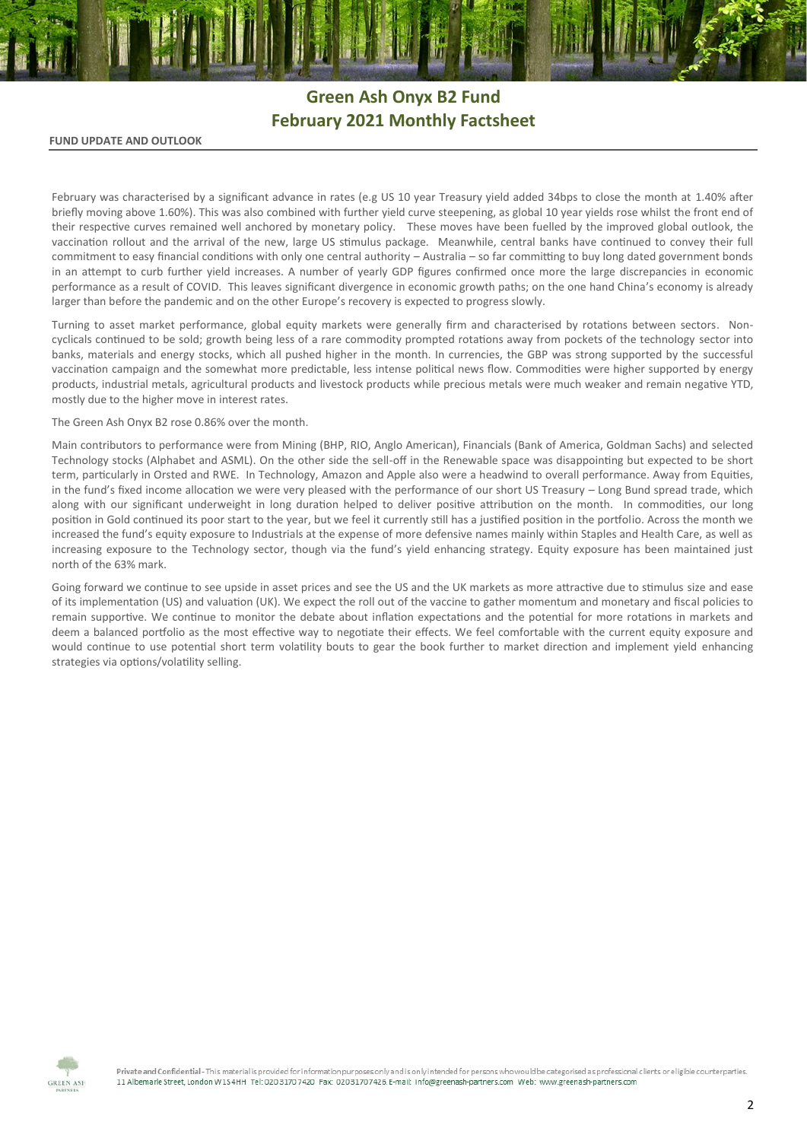# **Green Ash Onyx B2 Fund February 2021 Monthly Factsheet**

## **FUND UPDATE AND OUTLOOK**

February was characterised by a significant advance in rates (e.g US 10 year Treasury yield added 34bps to close the month at 1.40% after briefly moving above 1.60%). This was also combined with further yield curve steepening, as global 10 year yields rose whilst the front end of their respective curves remained well anchored by monetary policy. These moves have been fuelled by the improved global outlook, the vaccination rollout and the arrival of the new, large US stimulus package. Meanwhile, central banks have continued to convey their full commitment to easy financial conditions with only one central authority – Australia – so far committing to buy long dated government bonds in an attempt to curb further yield increases. A number of yearly GDP figures confirmed once more the large discrepancies in economic performance as a result of COVID. This leaves significant divergence in economic growth paths; on the one hand China's economy is already larger than before the pandemic and on the other Europe's recovery is expected to progress slowly.

Turning to asset market performance, global equity markets were generally firm and characterised by rotations between sectors. Noncyclicals continued to be sold; growth being less of a rare commodity prompted rotations away from pockets of the technology sector into banks, materials and energy stocks, which all pushed higher in the month. In currencies, the GBP was strong supported by the successful vaccination campaign and the somewhat more predictable, less intense political news flow. Commodities were higher supported by energy products, industrial metals, agricultural products and livestock products while precious metals were much weaker and remain negative YTD, mostly due to the higher move in interest rates.

### The Green Ash Onyx B2 rose 0.86% over the month.

Main contributors to performance were from Mining (BHP, RIO, Anglo American), Financials (Bank of America, Goldman Sachs) and selected Technology stocks (Alphabet and ASML). On the other side the sell-off in the Renewable space was disappointing but expected to be short term, particularly in Orsted and RWE. In Technology, Amazon and Apple also were a headwind to overall performance. Away from Equities, in the fund's fixed income allocation we were very pleased with the performance of our short US Treasury – Long Bund spread trade, which along with our significant underweight in long duration helped to deliver positive attribution on the month. In commodities, our long position in Gold continued its poor start to the year, but we feel it currently still has a justified position in the portfolio. Across the month we increased the fund's equity exposure to Industrials at the expense of more defensive names mainly within Staples and Health Care, as well as increasing exposure to the Technology sector, though via the fund's yield enhancing strategy. Equity exposure has been maintained just north of the 63% mark.

Going forward we continue to see upside in asset prices and see the US and the UK markets as more attractive due to stimulus size and ease of its implementation (US) and valuation (UK). We expect the roll out of the vaccine to gather momentum and monetary and fiscal policies to remain supportive. We continue to monitor the debate about inflation expectations and the potential for more rotations in markets and deem a balanced portfolio as the most effective way to negotiate their effects. We feel comfortable with the current equity exposure and would continue to use potential short term volatility bouts to gear the book further to market direction and implement yield enhancing strategies via options/volatility selling.